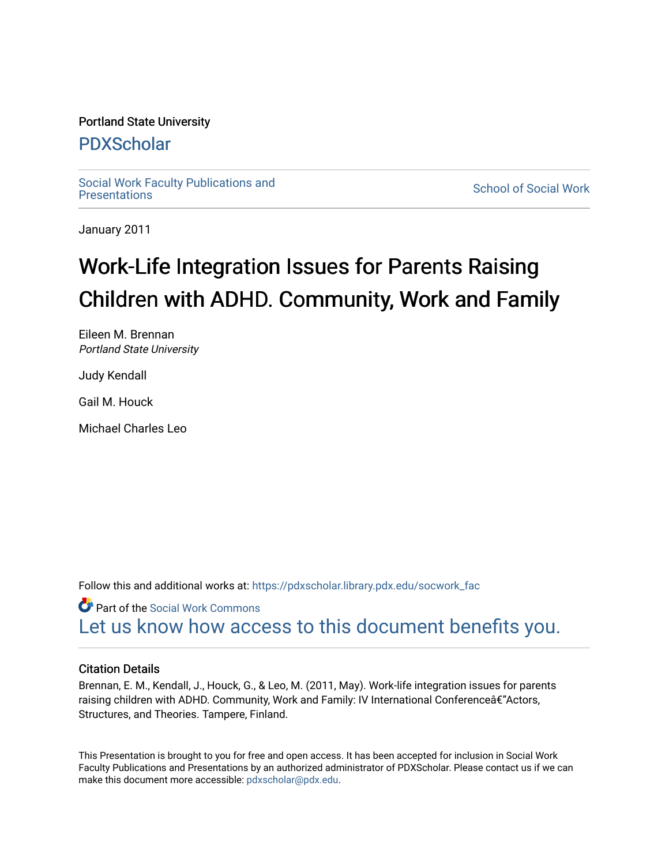#### Portland State University

#### [PDXScholar](https://pdxscholar.library.pdx.edu/)

Social Work Faculty Publications and<br>Presentations

**School of Social Work** 

January 2011

#### Work-Life Integration Issues for Parents Raising Children with ADHD. Community, Work and Family

Eileen M. Brennan Portland State University

Judy Kendall

Gail M. Houck

Michael Charles Leo

Follow this and additional works at: [https://pdxscholar.library.pdx.edu/socwork\\_fac](https://pdxscholar.library.pdx.edu/socwork_fac?utm_source=pdxscholar.library.pdx.edu%2Fsocwork_fac%2F26&utm_medium=PDF&utm_campaign=PDFCoverPages) 

Part of the [Social Work Commons](http://network.bepress.com/hgg/discipline/713?utm_source=pdxscholar.library.pdx.edu%2Fsocwork_fac%2F26&utm_medium=PDF&utm_campaign=PDFCoverPages) [Let us know how access to this document benefits you.](http://library.pdx.edu/services/pdxscholar-services/pdxscholar-feedback/?ref=https://pdxscholar.library.pdx.edu/socwork_fac/26) 

#### Citation Details

Brennan, E. M., Kendall, J., Houck, G., & Leo, M. (2011, May). Work-life integration issues for parents raising children with ADHD. Community, Work and Family: IV International Conferenceâ€"Actors, Structures, and Theories. Tampere, Finland.

This Presentation is brought to you for free and open access. It has been accepted for inclusion in Social Work Faculty Publications and Presentations by an authorized administrator of PDXScholar. Please contact us if we can make this document more accessible: [pdxscholar@pdx.edu.](mailto:pdxscholar@pdx.edu)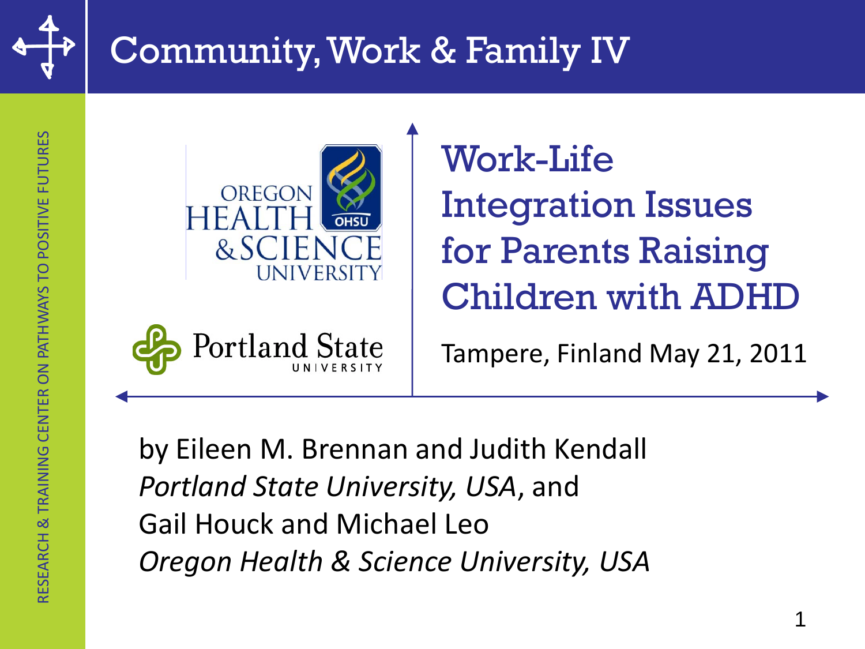

# Community, Work & Family IV





Work-Life Integration Issues for Parents Raising Children with ADHD

Tampere, Finland May 21, 2011

by Eileen M. Brennan and Judith Kendall *Portland State University, USA*, and Gail Houck and Michael Leo *Oregon Health & Science University, USA*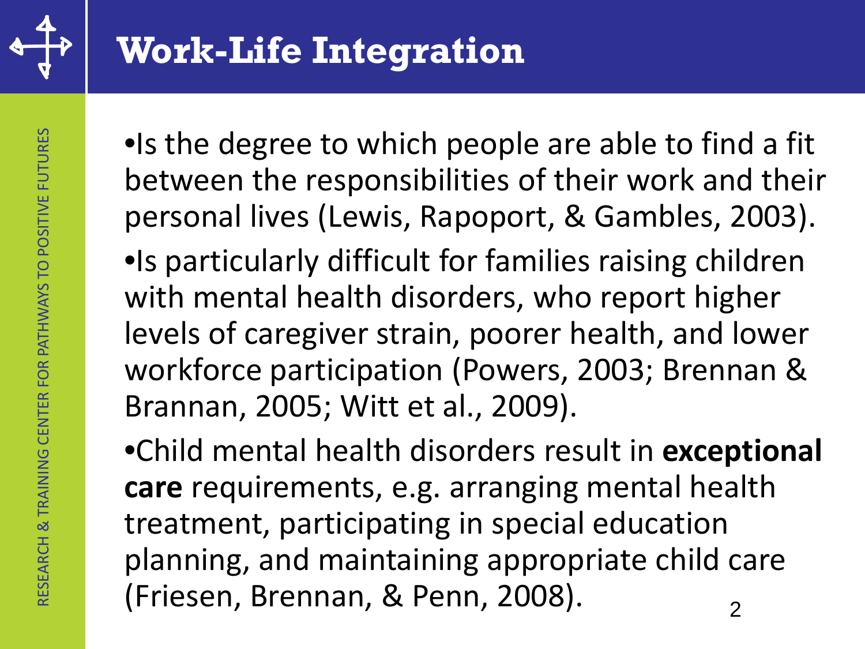

•Is the degree to which people are able to find a fit between the responsibilities of their work and their personal lives (Lewis, Rapoport, & Gambles, 2003).

•Is particularly difficult for families raising children with mental health disorders, who report higher levels of caregiver strain, poorer health, and lower workforce participation (Powers, 2003; Brennan & Brannan, 2005; Witt et al., 2009).

•Child mental health disorders result in **exceptional care** requirements, e.g. arranging mental health treatment, participating in special education planning, and maintaining appropriate child care (Friesen, Brennan, & Penn, 2008).  $\frac{1}{2}$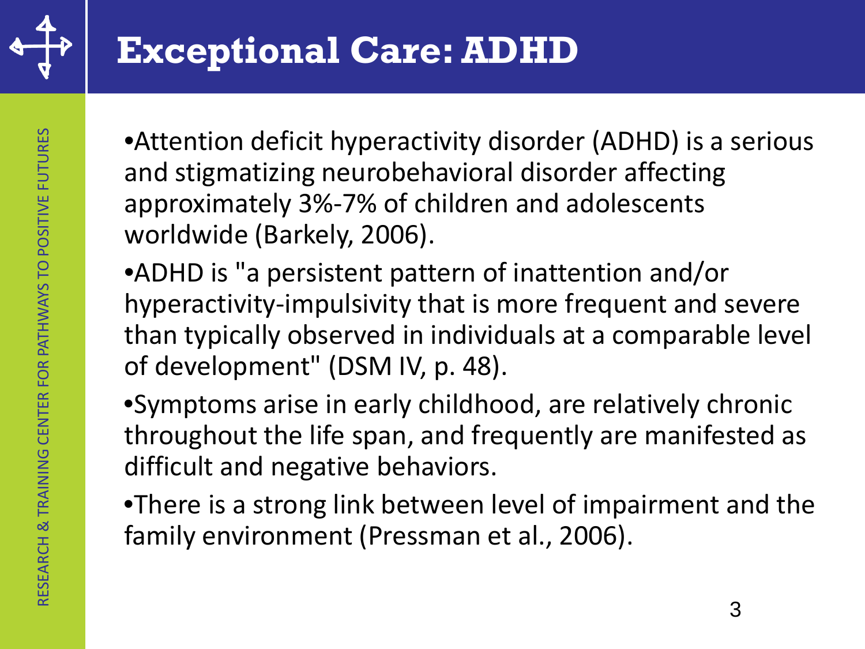

•Attention deficit hyperactivity disorder (ADHD) is a serious and stigmatizing neurobehavioral disorder affecting approximately 3%-7% of children and adolescents worldwide (Barkely, 2006).

•ADHD is "a persistent pattern of inattention and/or hyperactivity-impulsivity that is more frequent and severe than typically observed in individuals at a comparable level of development" (DSM IV, p. 48).

•Symptoms arise in early childhood, are relatively chronic throughout the life span, and frequently are manifested as difficult and negative behaviors.

•There is a strong link between level of impairment and the family environment (Pressman et al., 2006).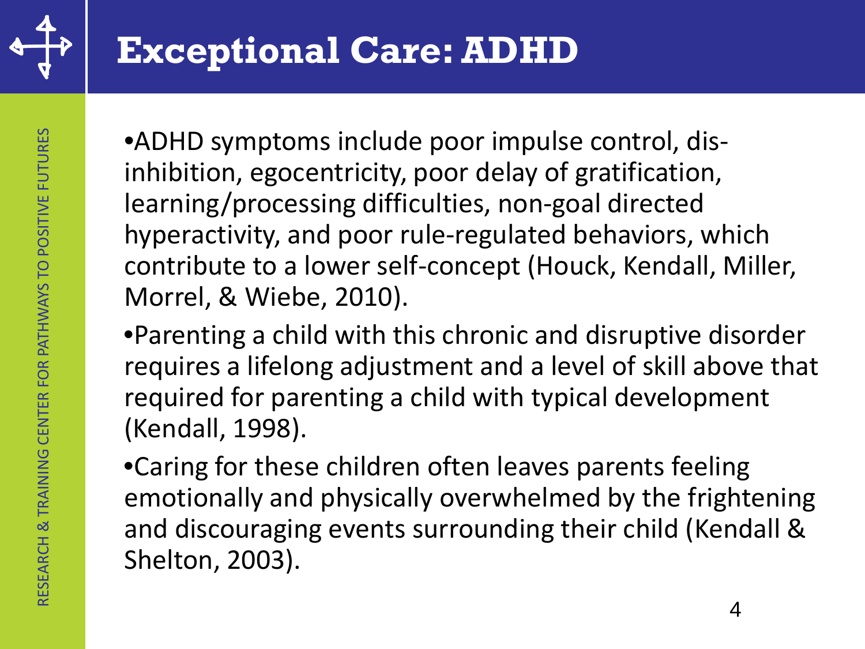

•ADHD symptoms include poor impulse control, disinhibition, egocentricity, poor delay of gratification, learning/processing difficulties, non-goal directed hyperactivity, and poor rule-regulated behaviors, which contribute to a lower self-concept (Houck, Kendall, Miller, Morrel, & Wiebe, 2010).

•Parenting a child with this chronic and disruptive disorder requires a lifelong adjustment and a level of skill above that required for parenting a child with typical development (Kendall, 1998).

•Caring for these children often leaves parents feeling emotionally and physically overwhelmed by the frightening and discouraging events surrounding their child (Kendall & Shelton, 2003).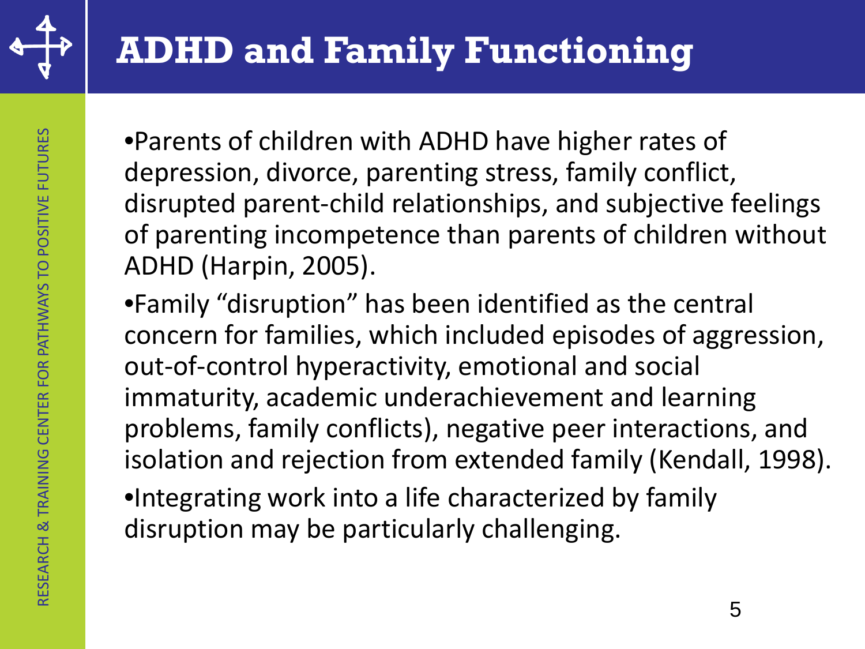

# **ADHD and Family Functioning**

•Parents of children with ADHD have higher rates of depression, divorce, parenting stress, family conflict, disrupted parent-child relationships, and subjective feelings of parenting incompetence than parents of children without ADHD (Harpin, 2005).

•Family "disruption" has been identified as the central concern for families, which included episodes of aggression, out-of-control hyperactivity, emotional and social immaturity, academic underachievement and learning problems, family conflicts), negative peer interactions, and isolation and rejection from extended family (Kendall, 1998).

•Integrating work into a life characterized by family disruption may be particularly challenging.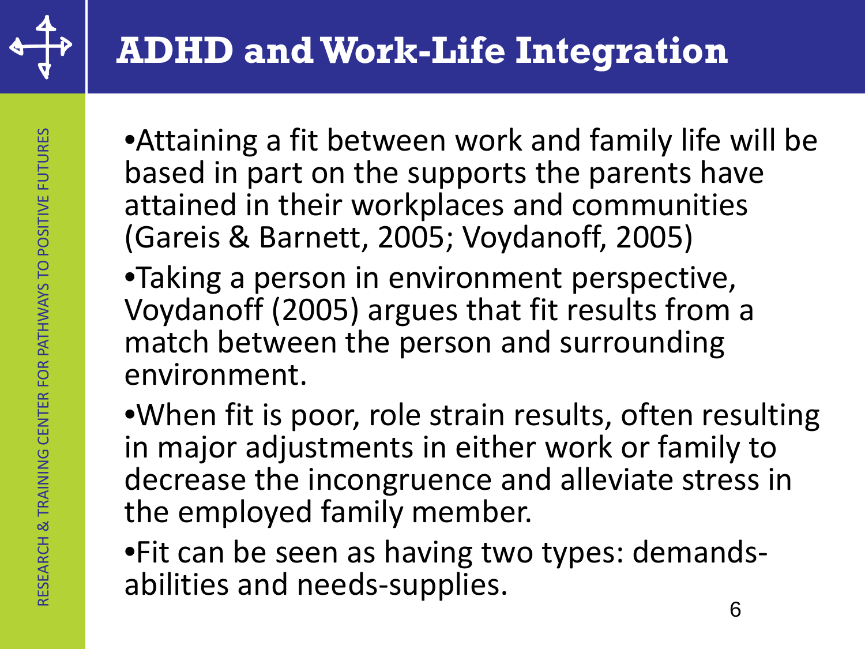

•Attaining a fit between work and family life will be based in part on the supports the parents have attained in their workplaces and communities (Gareis & Barnett, 2005; Voydanoff, 2005)

•Taking a person in environment perspective, Voydanoff (2005) argues that fit results from a match between the person and surrounding environment.

•When fit is poor, role strain results, often resulting in major adjustments in either work or family to decrease the incongruence and alleviate stress in the employed family member.

•Fit can be seen as having two types: demands- abilities and needs-supplies.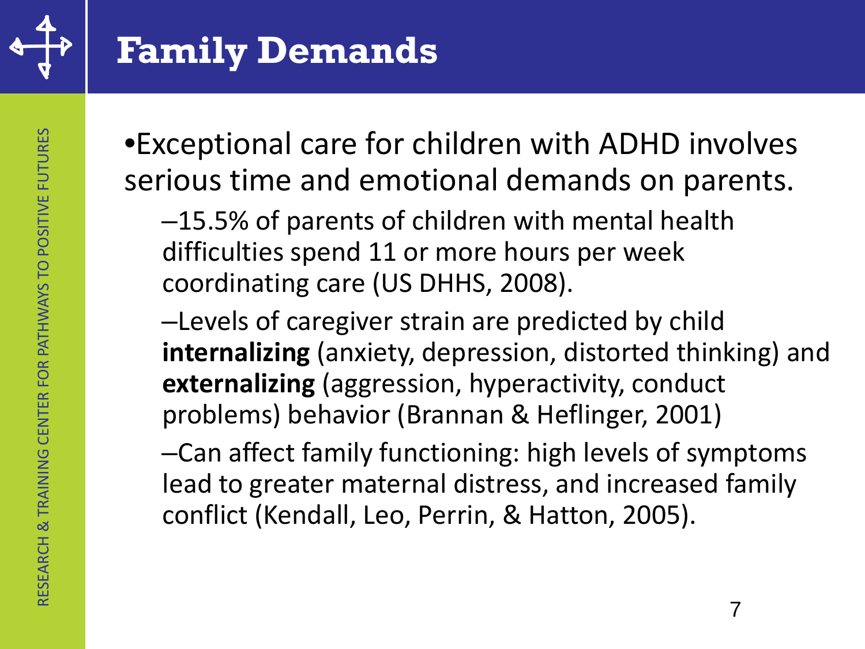

•Exceptional care for children with ADHD involves serious time and emotional demands on parents.

–15.5% of parents of children with mental health difficulties spend 11 or more hours per week coordinating care (US DHHS, 2008).

–Levels of caregiver strain are predicted by child **internalizing** (anxiety, depression, distorted thinking) and **externalizing** (aggression, hyperactivity, conduct problems) behavior (Brannan & Heflinger, 2001)

–Can affect family functioning: high levels of symptoms lead to greater maternal distress, and increased family conflict (Kendall, Leo, Perrin, & Hatton, 2005).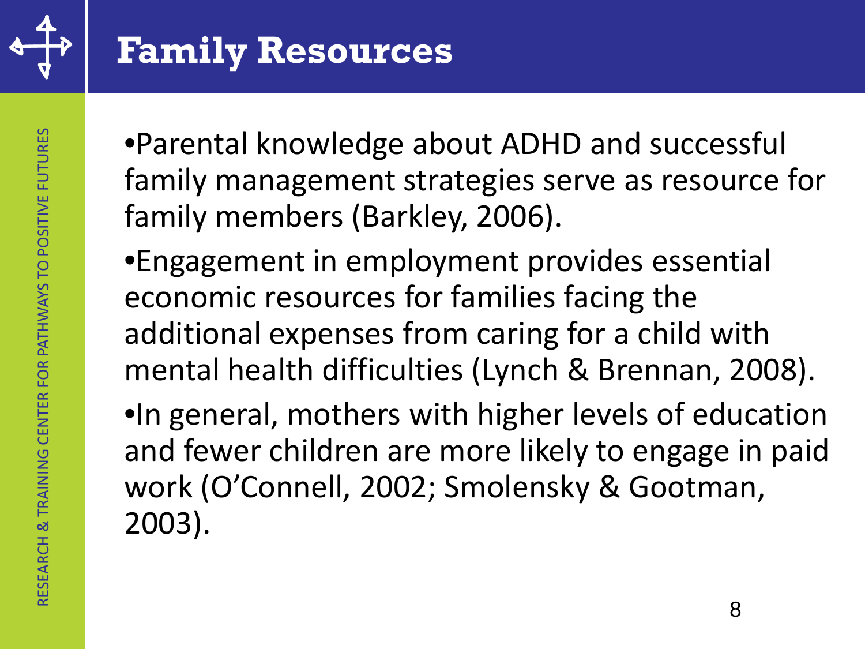

•Parental knowledge about ADHD and successful family management strategies serve as resource for family members (Barkley, 2006).

•Engagement in employment provides essential economic resources for families facing the additional expenses from caring for a child with mental health difficulties (Lynch & Brennan, 2008).

•In general, mothers with higher levels of education and fewer children are more likely to engage in paid work (O'Connell, 2002; Smolensky & Gootman, 2003).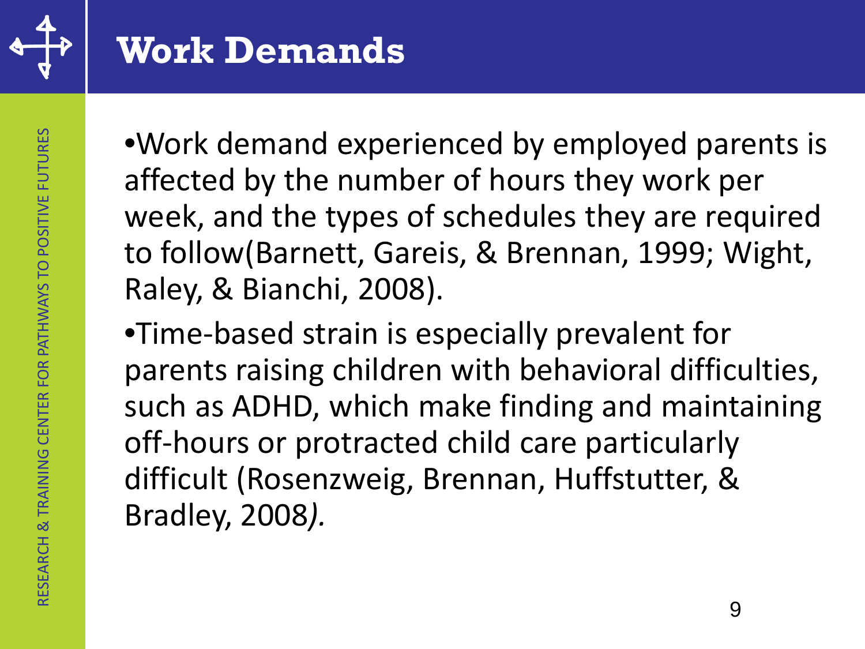

#### **Work Demands**

•Work demand experienced by employed parents is affected by the number of hours they work per week, and the types of schedules they are required to follow(Barnett, Gareis, & Brennan, 1999; Wight, Raley, & Bianchi, 2008).

•Time-based strain is especially prevalent for parents raising children with behavioral difficulties, such as ADHD, which make finding and maintaining off-hours or protracted child care particularly difficult (Rosenzweig, Brennan, Huffstutter, & Bradley, 2008*).*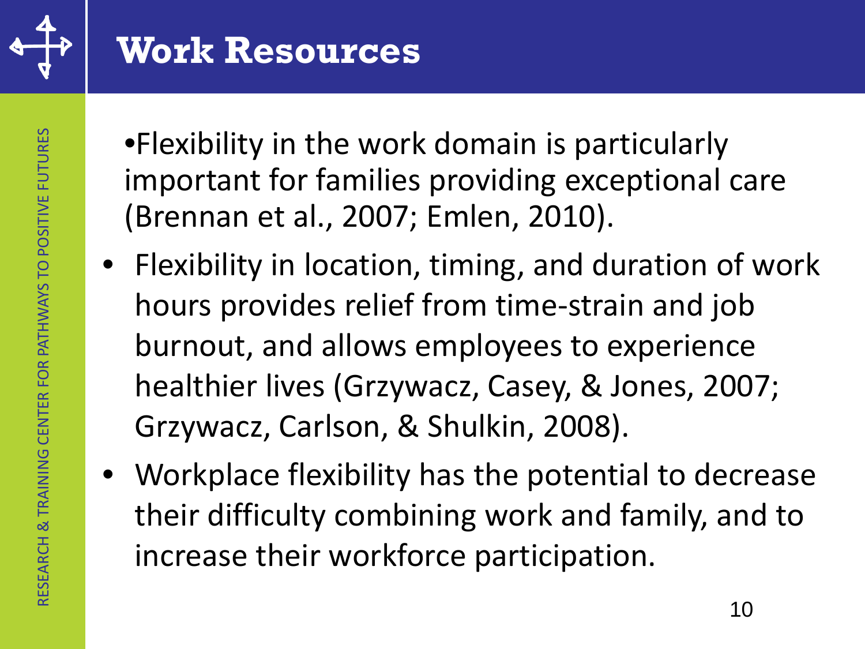

#### **Work Resources**

- •Flexibility in the work domain is particularly important for families providing exceptional care (Brennan et al., 2007; Emlen, 2010).
- Flexibility in location, timing, and duration of work hours provides relief from time-strain and job burnout, and allows employees to experience healthier lives (Grzywacz, Casey, & Jones, 2007; Grzywacz, Carlson, & Shulkin, 2008).
- Workplace flexibility has the potential to decrease their difficulty combining work and family, and to increase their workforce participation.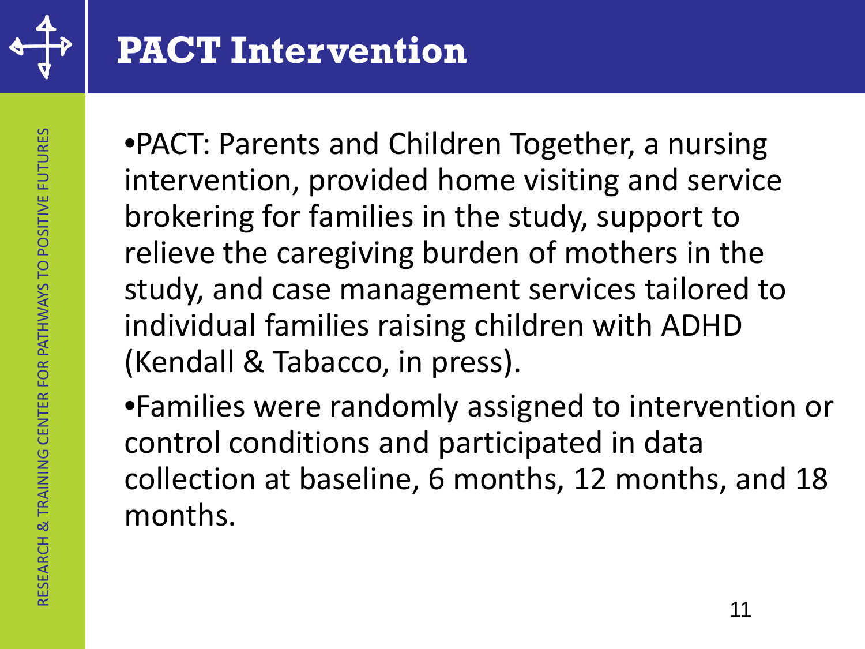

•PACT: Parents and Children Together, a nursing intervention, provided home visiting and service brokering for families in the study, support to relieve the caregiving burden of mothers in the study, and case management services tailored to individual families raising children with ADHD (Kendall & Tabacco, in press).

•Families were randomly assigned to intervention or control conditions and participated in data collection at baseline, 6 months, 12 months, and 18 months.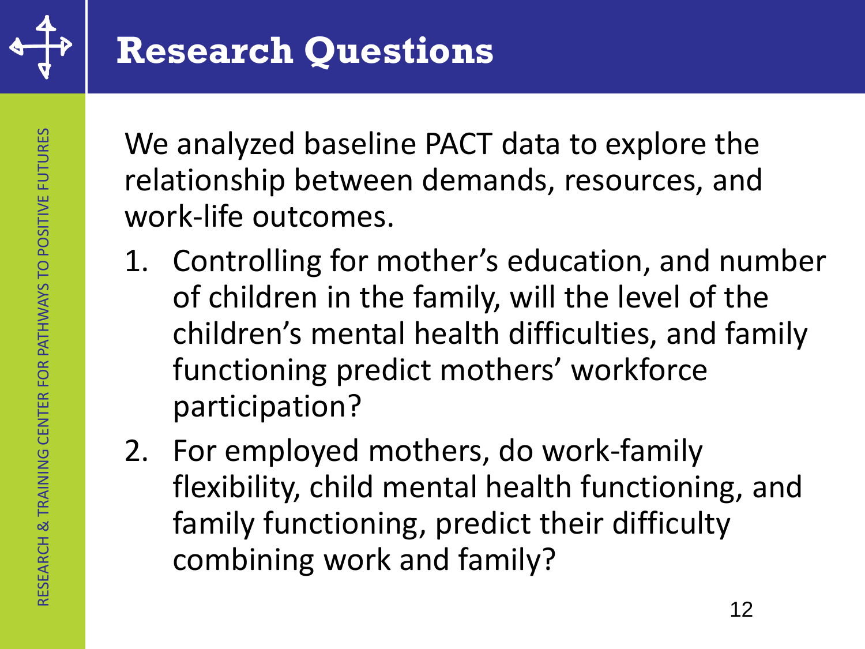

We analyzed baseline PACT data to explore the relationship between demands, resources, and work-life outcomes.

- 1. Controlling for mother's education, and number of children in the family, will the level of the children's mental health difficulties, and family functioning predict mothers' workforce participation?
- 2. For employed mothers, do work-family flexibility, child mental health functioning, and family functioning, predict their difficulty combining work and family?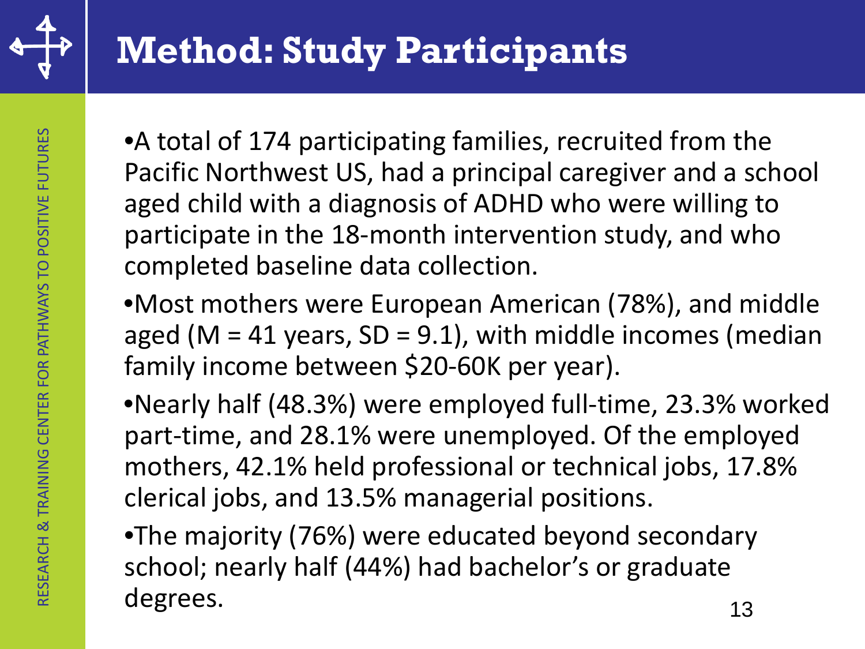

•A total of 174 participating families, recruited from the Pacific Northwest US, had a principal caregiver and a school aged child with a diagnosis of ADHD who were willing to participate in the 18-month intervention study, and who completed baseline data collection.

•Most mothers were European American (78%), and middle aged (M = 41 years,  $SD = 9.1$ ), with middle incomes (median family income between \$20-60K per year).

•Nearly half (48.3%) were employed full-time, 23.3% worked part-time, and 28.1% were unemployed. Of the employed mothers, 42.1% held professional or technical jobs, 17.8% clerical jobs, and 13.5% managerial positions.

•The majority (76%) were educated beyond secondary school; nearly half (44%) had bachelor's or graduate degrees. 13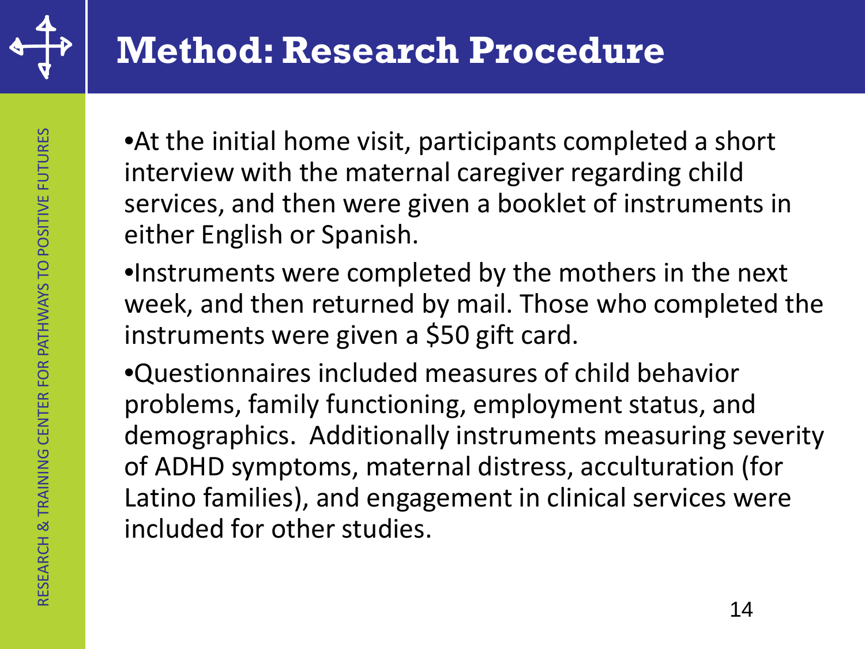

RESEARCH & TRAINING CENTER ON PATHWAYS TO POSITIVE FUTURES RESEARCH & TRAINING CENTER FOR PATHWAYS TO POSITIVE FUTURES

RESEARCH & TRAINING CENTER FOR PATHWAYS TO POSITIVE FUTURES

•At the initial home visit, participants completed a short interview with the maternal caregiver regarding child services, and then were given a booklet of instruments in either English or Spanish.

- •Instruments were completed by the mothers in the next week, and then returned by mail. Those who completed the instruments were given a \$50 gift card.
- •Questionnaires included measures of child behavior problems, family functioning, employment status, and demographics. Additionally instruments measuring severity of ADHD symptoms, maternal distress, acculturation (for Latino families), and engagement in clinical services were included for other studies.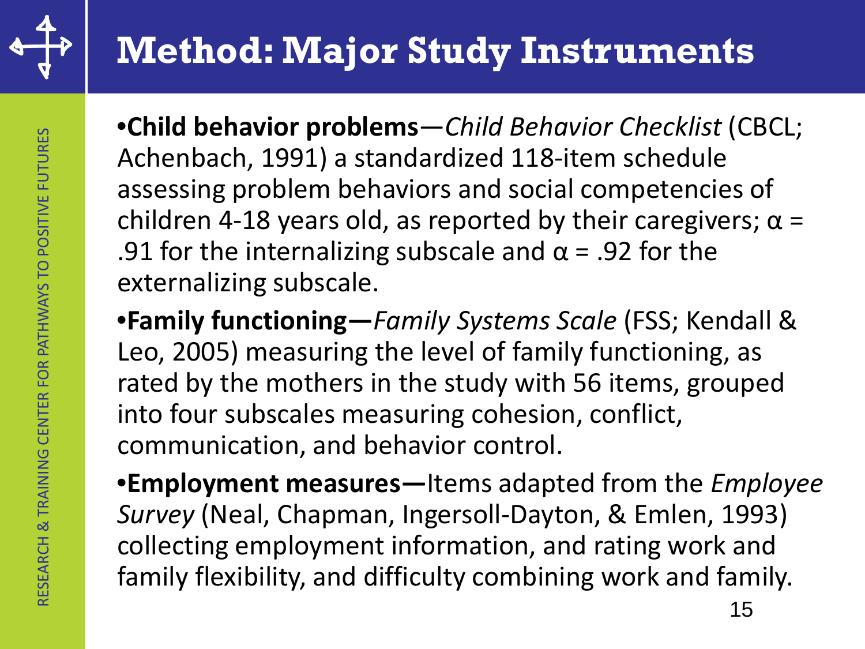

# **Method: Major Study Instruments**

•**Child behavior problems**—*Child Behavior Checklist* (CBCL; Achenbach, 1991) a standardized 118-item schedule assessing problem behaviors and social competencies of children 4-18 years old, as reported by their caregivers;  $\alpha$  = .91 for the internalizing subscale and  $\alpha$  = .92 for the externalizing subscale.

•**Family functioning—***Family Systems Scale* (FSS; Kendall & Leo, 2005) measuring the level of family functioning, as rated by the mothers in the study with 56 items, grouped into four subscales measuring cohesion, conflict, communication, and behavior control.

•**Employment measures—**Items adapted from the *Employee Survey* (Neal, Chapman, Ingersoll-Dayton, & Emlen, 1993) collecting employment information, and rating work and family flexibility, and difficulty combining work and family.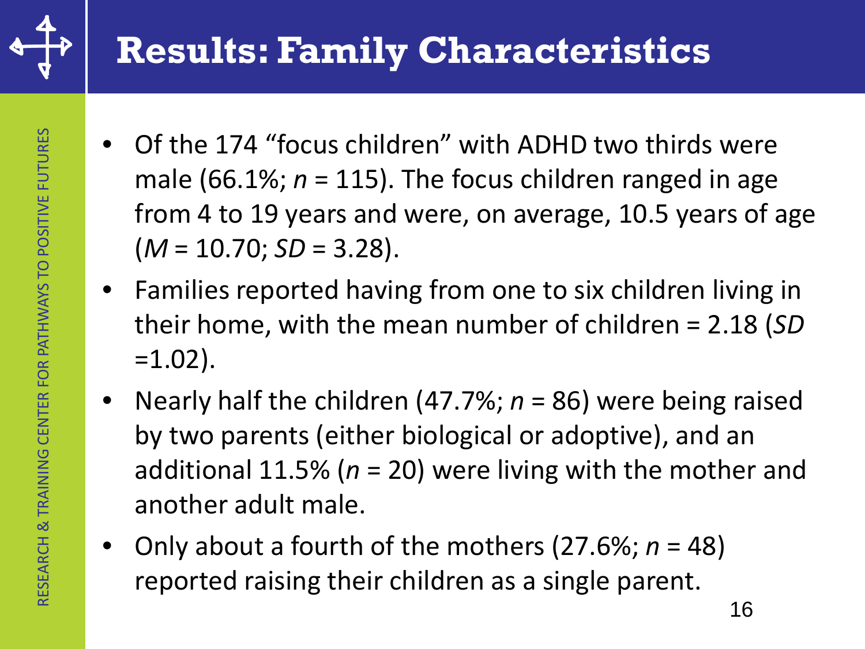

#### **Results: Family Characteristics**

- Of the 174 "focus children" with ADHD two thirds were male (66.1%; *n* = 115). The focus children ranged in age from 4 to 19 years and were, on average, 10.5 years of age  $(M = 10.70; SD = 3.28).$
- Families reported having from one to six children living in their home, with the mean number of children = 2.18 (*SD*  $=1.02$ ).
- Nearly half the children (47.7%; *n* = 86) were being raised by two parents (either biological or adoptive), and an additional 11.5% (*n* = 20) were living with the mother and another adult male.
- Only about a fourth of the mothers (27.6%; *n* = 48) reported raising their children as a single parent.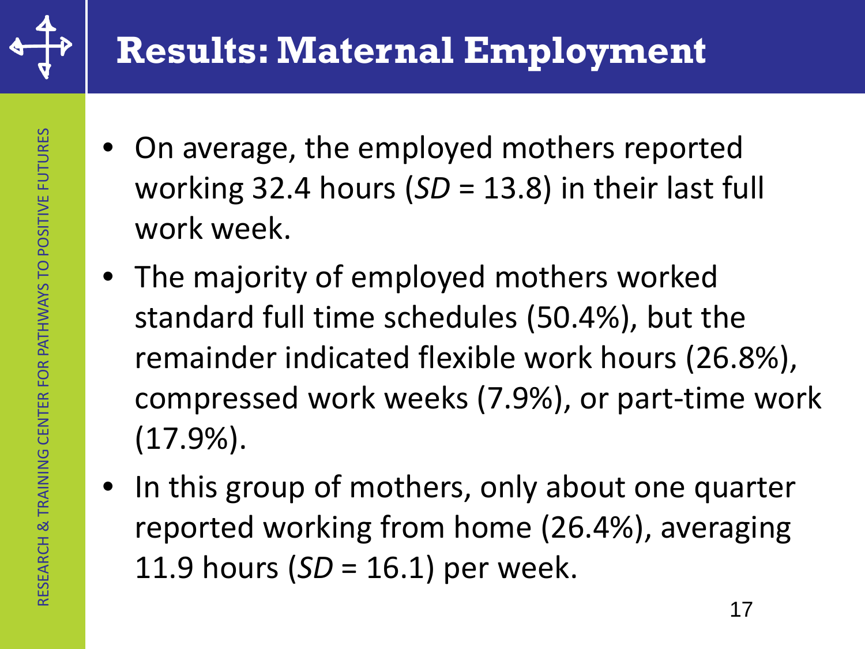

- On average, the employed mothers reported working 32.4 hours (*SD* = 13.8) in their last full work week.
- The majority of employed mothers worked standard full time schedules (50.4%), but the remainder indicated flexible work hours (26.8%), compressed work weeks (7.9%), or part-time work (17.9%).
- In this group of mothers, only about one quarter reported working from home (26.4%), averaging 11.9 hours (*SD* = 16.1) per week.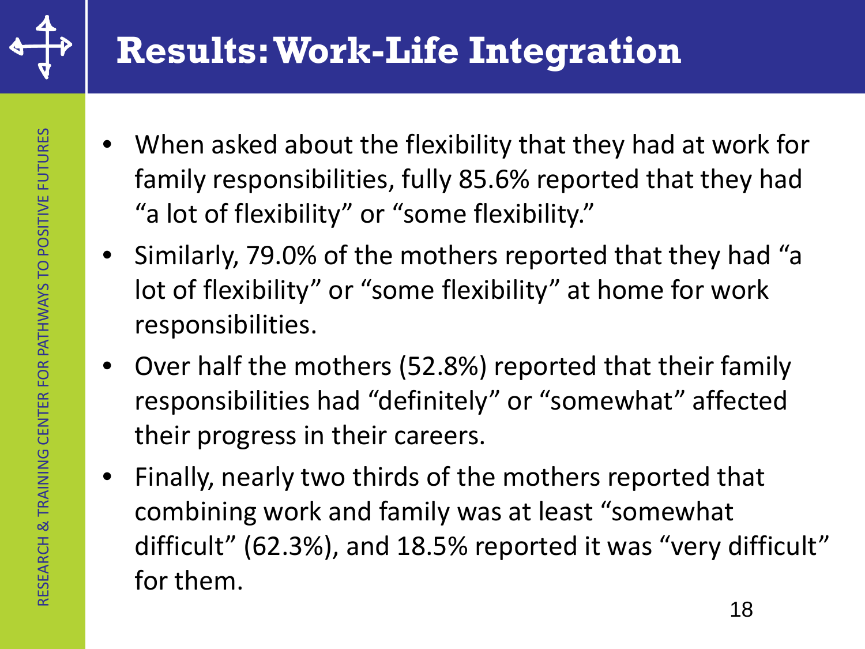

### **Results: Work-Life Integration**

- When asked about the flexibility that they had at work for family responsibilities, fully 85.6% reported that they had "a lot of flexibility" or "some flexibility."
- Similarly, 79.0% of the mothers reported that they had "a lot of flexibility" or "some flexibility" at home for work responsibilities.
- Over half the mothers (52.8%) reported that their family responsibilities had "definitely" or "somewhat" affected their progress in their careers.
- Finally, nearly two thirds of the mothers reported that combining work and family was at least "somewhat difficult" (62.3%), and 18.5% reported it was "very difficult" for them.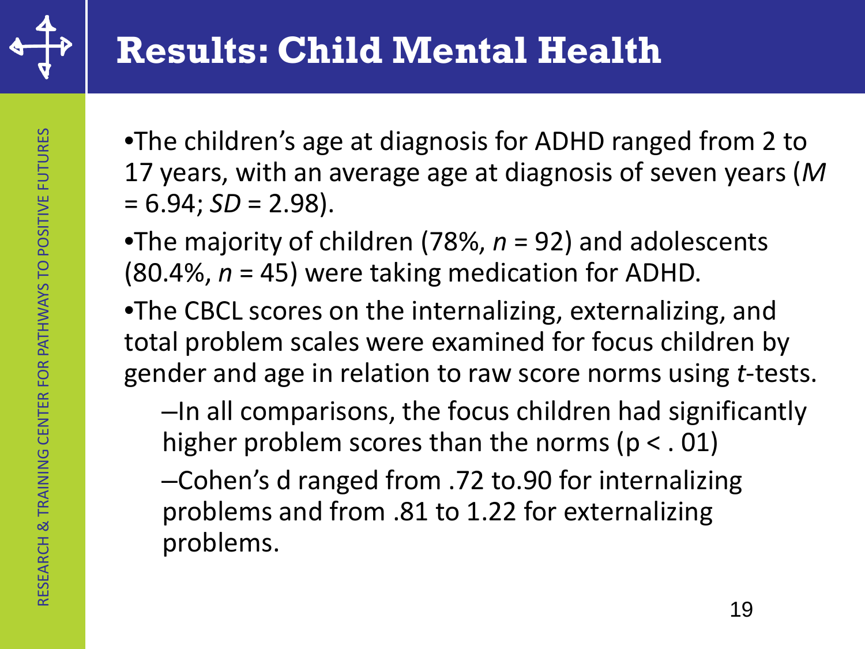

- •The children's age at diagnosis for ADHD ranged from 2 to 17 years, with an average age at diagnosis of seven years (*M*   $= 6.94$ ; *SD* = 2.98).
- •The majority of children (78%, *n* = 92) and adolescents  $(80.4\%), n = 45)$  were taking medication for ADHD.
- •The CBCL scores on the internalizing, externalizing, and total problem scales were examined for focus children by gender and age in relation to raw score norms using *t*-tests.

–In all comparisons, the focus children had significantly higher problem scores than the norms ( $p < .01$ )

–Cohen's d ranged from .72 to.90 for internalizing problems and from .81 to 1.22 for externalizing problems.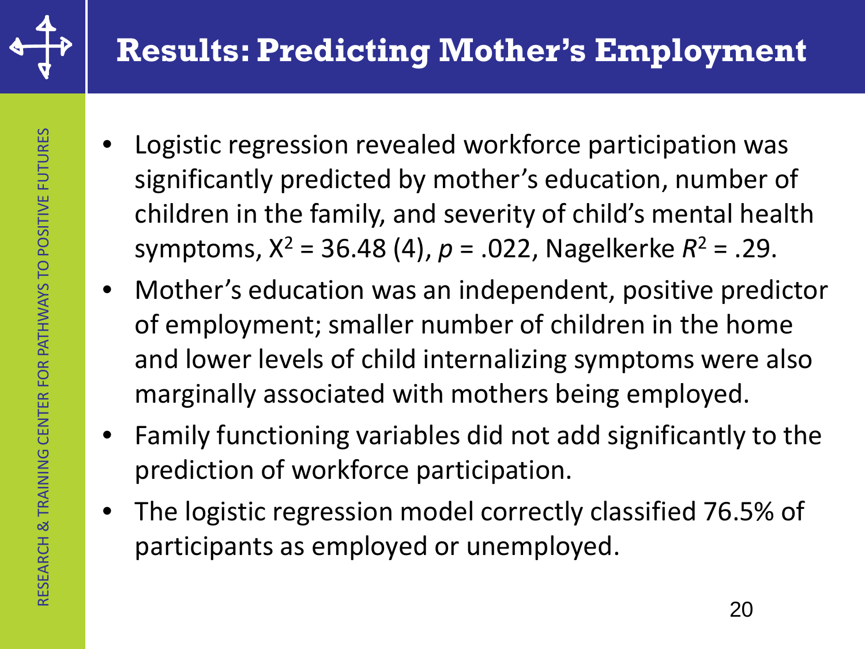

- Logistic regression revealed workforce participation was significantly predicted by mother's education, number of children in the family, and severity of child's mental health symptoms, X2 = 36.48 (4), *p* = .022, Nagelkerke *R*<sup>2</sup> = .29.
- Mother's education was an independent, positive predictor of employment; smaller number of children in the home and lower levels of child internalizing symptoms were also marginally associated with mothers being employed.
- Family functioning variables did not add significantly to the prediction of workforce participation.
- The logistic regression model correctly classified 76.5% of participants as employed or unemployed.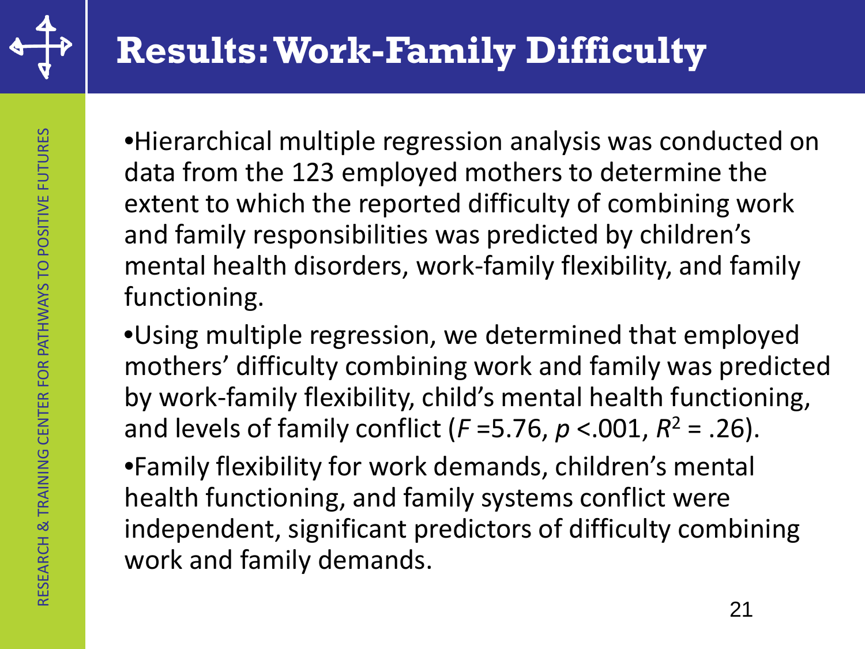

•Hierarchical multiple regression analysis was conducted on data from the 123 employed mothers to determine the extent to which the reported difficulty of combining work and family responsibilities was predicted by children's mental health disorders, work-family flexibility, and family functioning.

•Using multiple regression, we determined that employed mothers' difficulty combining work and family was predicted by work-family flexibility, child's mental health functioning, and levels of family conflict ( $F = 5.76$ ,  $p < .001$ ,  $R^2 = .26$ ).

•Family flexibility for work demands, children's mental health functioning, and family systems conflict were independent, significant predictors of difficulty combining work and family demands.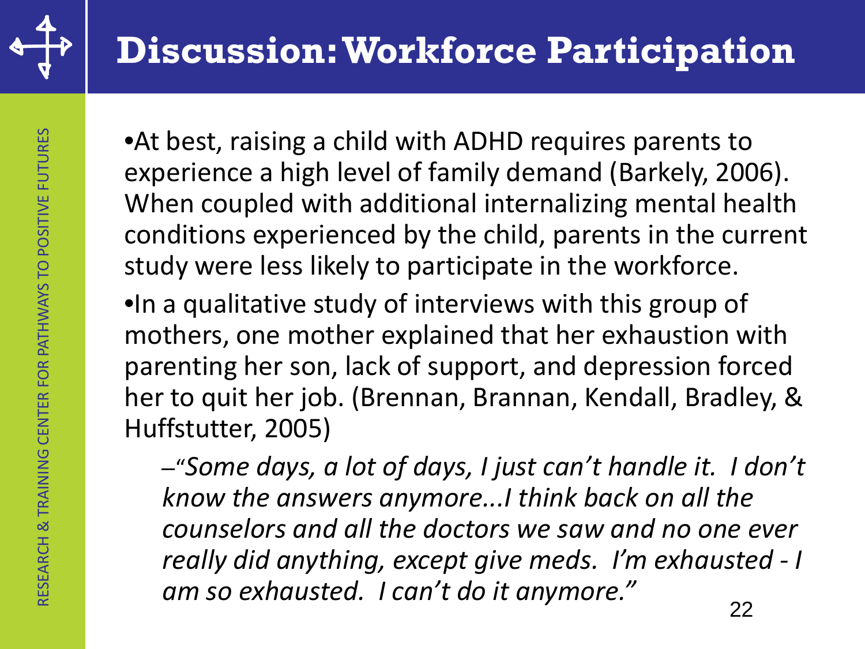

•At best, raising a child with ADHD requires parents to experience a high level of family demand (Barkely, 2006). When coupled with additional internalizing mental health conditions experienced by the child, parents in the current study were less likely to participate in the workforce.

•In a qualitative study of interviews with this group of mothers, one mother explained that her exhaustion with parenting her son, lack of support, and depression forced her to quit her job. (Brennan, Brannan, Kendall, Bradley, & Huffstutter, 2005)

–"*Some days, a lot of days, I just can't handle it. I don't know the answers anymore...I think back on all the counselors and all the doctors we saw and no one ever really did anything, except give meds. I'm exhausted - I am so exhausted. I can't do it anymore."* 22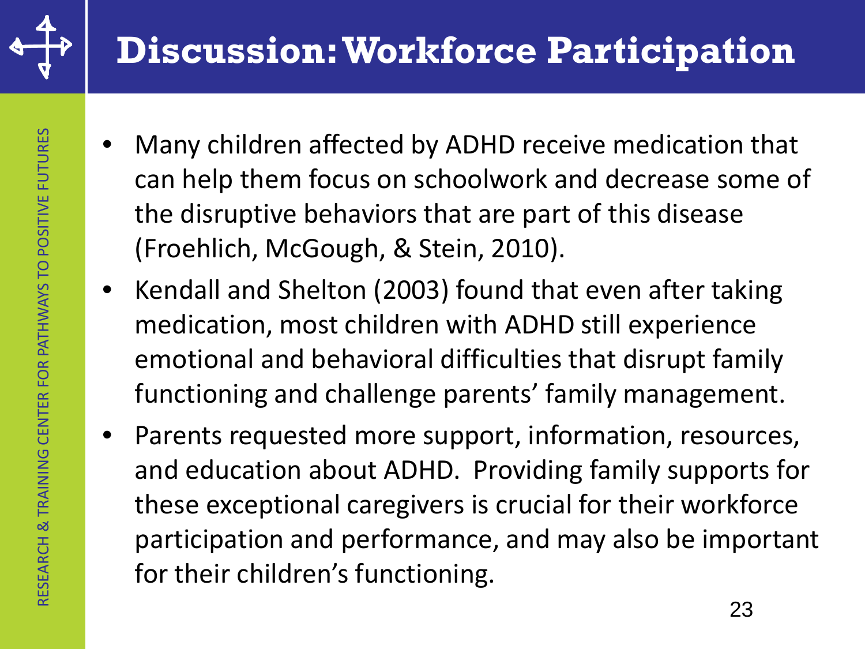

### **Discussion: Workforce Participation**

- Many children affected by ADHD receive medication that can help them focus on schoolwork and decrease some of the disruptive behaviors that are part of this disease (Froehlich, McGough, & Stein, 2010).
- Kendall and Shelton (2003) found that even after taking medication, most children with ADHD still experience emotional and behavioral difficulties that disrupt family functioning and challenge parents' family management.
- Parents requested more support, information, resources, and education about ADHD. Providing family supports for these exceptional caregivers is crucial for their workforce participation and performance, and may also be important for their children's functioning.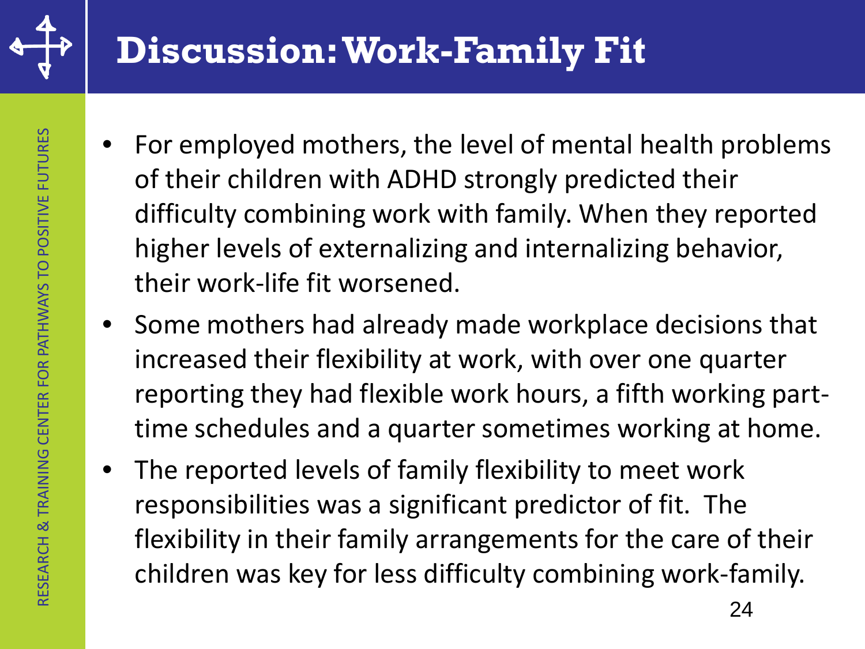

### **Discussion: Work-Family Fit**

- For employed mothers, the level of mental health problems of their children with ADHD strongly predicted their difficulty combining work with family. When they reported higher levels of externalizing and internalizing behavior, their work-life fit worsened.
- Some mothers had already made workplace decisions that increased their flexibility at work, with over one quarter reporting they had flexible work hours, a fifth working parttime schedules and a quarter sometimes working at home.
- The reported levels of family flexibility to meet work responsibilities was a significant predictor of fit. The flexibility in their family arrangements for the care of their children was key for less difficulty combining work-family.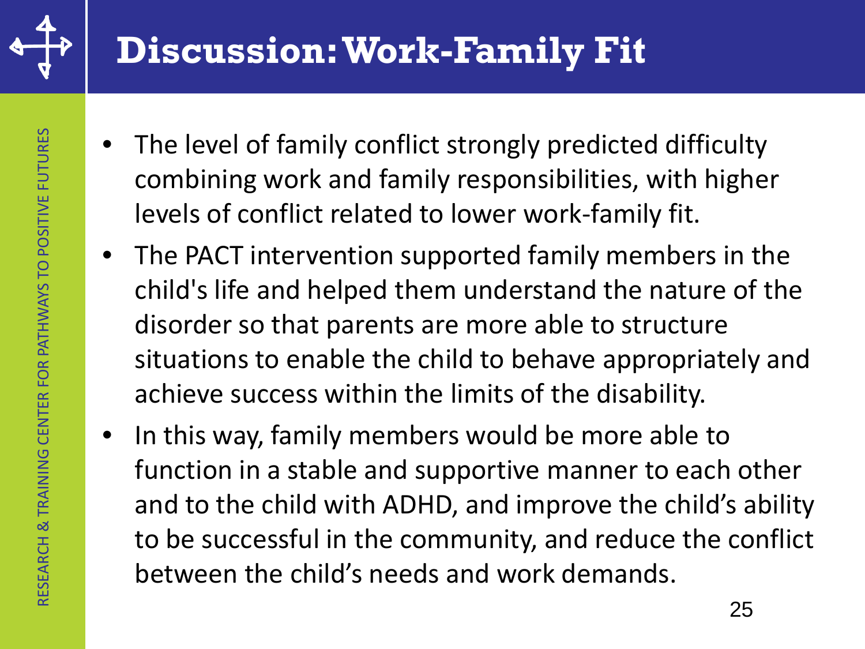

# **Discussion: Work-Family Fit**

- The level of family conflict strongly predicted difficulty combining work and family responsibilities, with higher levels of conflict related to lower work-family fit.
- The PACT intervention supported family members in the child's life and helped them understand the nature of the disorder so that parents are more able to structure situations to enable the child to behave appropriately and achieve success within the limits of the disability.
- In this way, family members would be more able to function in a stable and supportive manner to each other and to the child with ADHD, and improve the child's ability to be successful in the community, and reduce the conflict between the child's needs and work demands.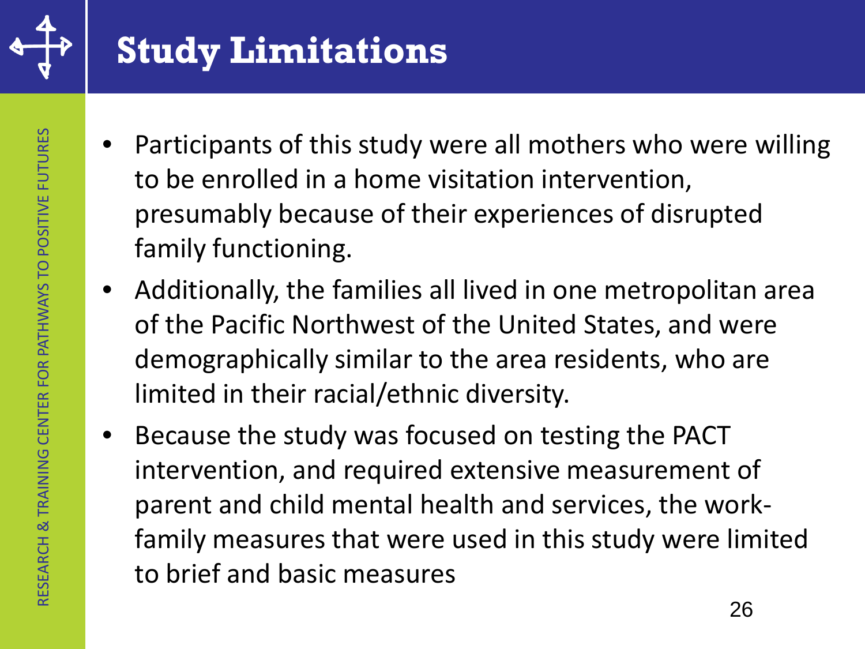

# **Study Limitations**

- Participants of this study were all mothers who were willing to be enrolled in a home visitation intervention, presumably because of their experiences of disrupted family functioning.
- Additionally, the families all lived in one metropolitan area of the Pacific Northwest of the United States, and were demographically similar to the area residents, who are limited in their racial/ethnic diversity.
- Because the study was focused on testing the PACT intervention, and required extensive measurement of parent and child mental health and services, the workfamily measures that were used in this study were limited to brief and basic measures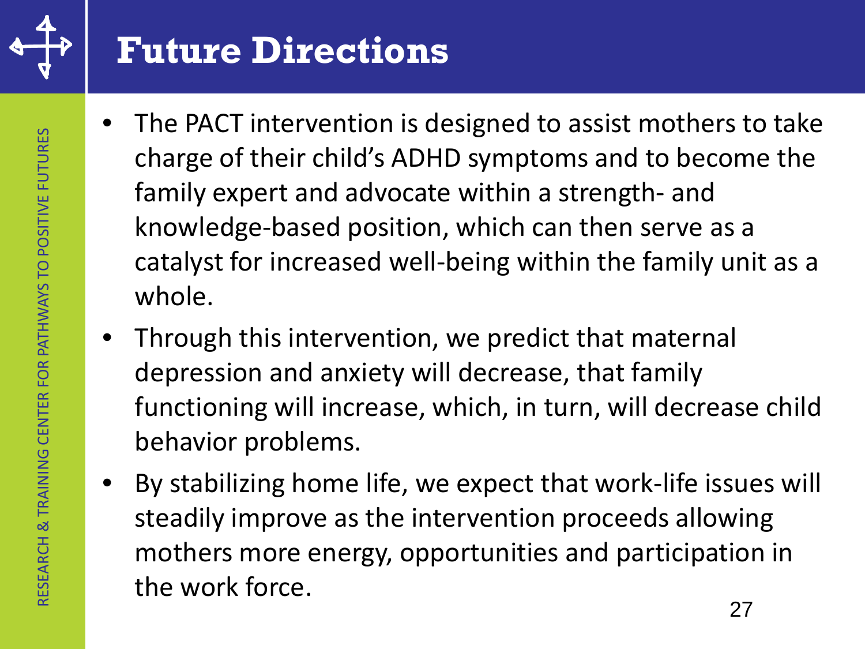

### **Future Directions**

- The PACT intervention is designed to assist mothers to take charge of their child's ADHD symptoms and to become the family expert and advocate within a strength- and knowledge-based position, which can then serve as a catalyst for increased well-being within the family unit as a whole.
- Through this intervention, we predict that maternal depression and anxiety will decrease, that family functioning will increase, which, in turn, will decrease child behavior problems.
- By stabilizing home life, we expect that work-life issues will steadily improve as the intervention proceeds allowing mothers more energy, opportunities and participation in the work force.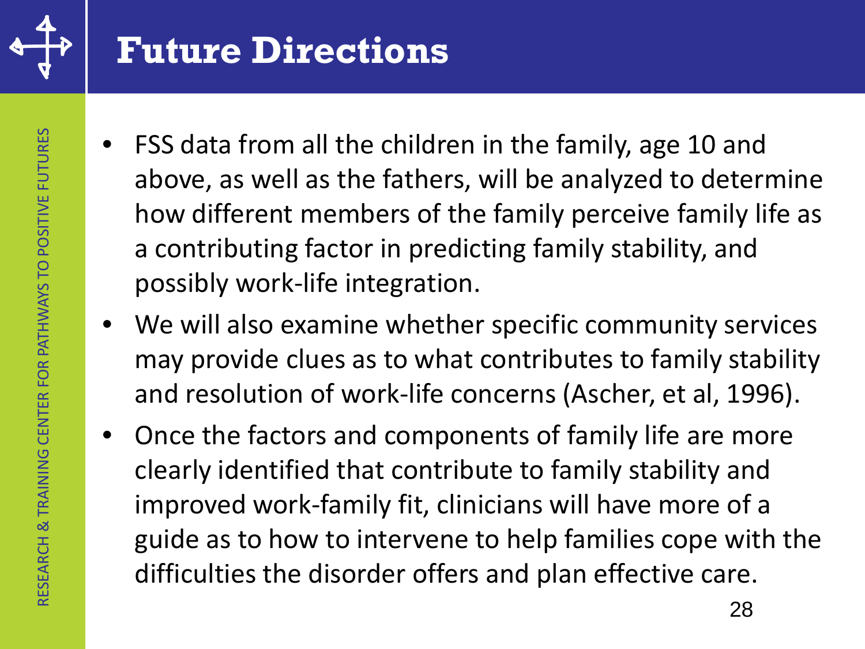

#### **Future Directions**

- FSS data from all the children in the family, age 10 and above, as well as the fathers, will be analyzed to determine how different members of the family perceive family life as a contributing factor in predicting family stability, and possibly work-life integration.
- We will also examine whether specific community services may provide clues as to what contributes to family stability and resolution of work-life concerns (Ascher, et al, 1996).
- Once the factors and components of family life are more clearly identified that contribute to family stability and improved work-family fit, clinicians will have more of a guide as to how to intervene to help families cope with the difficulties the disorder offers and plan effective care.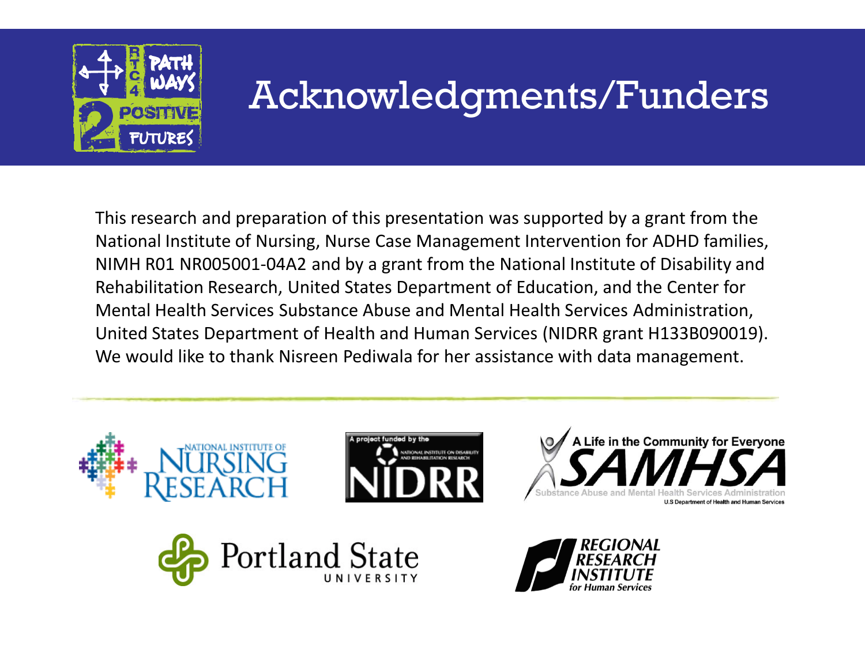

# Acknowledgments/Funders

This research and preparation of this presentation was supported by a grant from the National Institute of Nursing, Nurse Case Management Intervention for ADHD families, NIMH R01 NR005001-04A2 and by a grant from the National Institute of Disability and Rehabilitation Research, United States Department of Education, and the Center for Mental Health Services Substance Abuse and Mental Health Services Administration, United States Department of Health and Human Services (NIDRR grant H133B090019). We would like to thank Nisreen Pediwala for her assistance with data management.